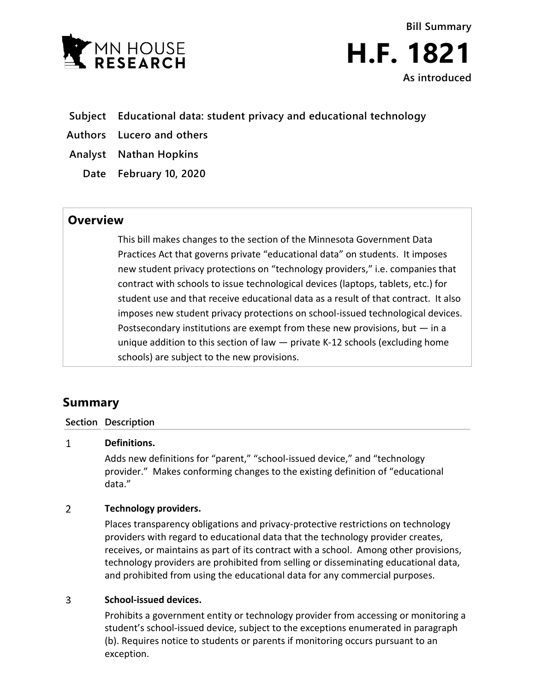

**Bill Summary H.F. 1821 As introduced**

- **Subject Educational data: student privacy and educational technology**
- **Authors Lucero and others**
- **Analyst Nathan Hopkins**
	- **Date February 10, 2020**

## **Overview**

This bill makes changes to the section of the Minnesota Government Data Practices Act that governs private "educational data" on students. It imposes new student privacy protections on "technology providers," i.e. companies that contract with schools to issue technological devices (laptops, tablets, etc.) for student use and that receive educational data as a result of that contract. It also imposes new student privacy protections on school-issued technological devices. Postsecondary institutions are exempt from these new provisions, but  $-$  in a unique addition to this section of law — private K-12 schools (excluding home schools) are subject to the new provisions.

# **Summary**

### **Section Description**

#### $\mathbf{1}$ **Definitions.**

Adds new definitions for "parent," "school-issued device," and "technology provider." Makes conforming changes to the existing definition of "educational data."

#### $\overline{2}$ **Technology providers.**

Places transparency obligations and privacy-protective restrictions on technology providers with regard to educational data that the technology provider creates, receives, or maintains as part of its contract with a school. Among other provisions, technology providers are prohibited from selling or disseminating educational data, and prohibited from using the educational data for any commercial purposes.

#### $\overline{3}$ **School-issued devices.**

Prohibits a government entity or technology provider from accessing or monitoring a student's school-issued device, subject to the exceptions enumerated in paragraph (b). Requires notice to students or parents if monitoring occurs pursuant to an exception.